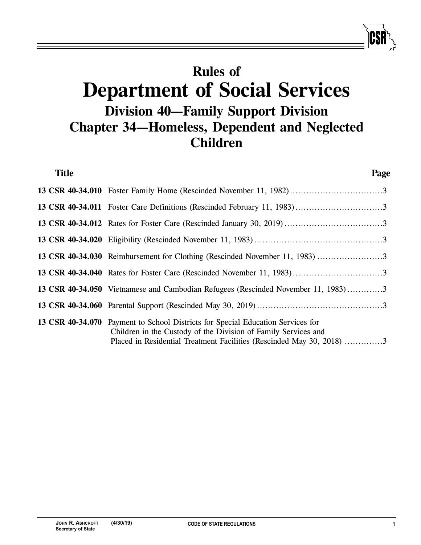# **Rules of Department of Social Services Division 40—Family Support Division Chapter 34—Homeless, Dependent and Neglected Children**

| <b>Title</b> |                                                                                                                                                                                                                            | Page |
|--------------|----------------------------------------------------------------------------------------------------------------------------------------------------------------------------------------------------------------------------|------|
|              |                                                                                                                                                                                                                            |      |
|              |                                                                                                                                                                                                                            |      |
|              |                                                                                                                                                                                                                            |      |
|              |                                                                                                                                                                                                                            |      |
|              | 13 CSR 40-34.030 Reimbursement for Clothing (Rescinded November 11, 1983) 3                                                                                                                                                |      |
|              |                                                                                                                                                                                                                            |      |
|              | 13 CSR 40-34.050 Vietnamese and Cambodian Refugees (Rescinded November 11, 1983)3                                                                                                                                          |      |
|              |                                                                                                                                                                                                                            |      |
|              | 13 CSR 40-34.070 Payment to School Districts for Special Education Services for<br>Children in the Custody of the Division of Family Services and<br>Placed in Residential Treatment Facilities (Rescinded May 30, 2018) 3 |      |